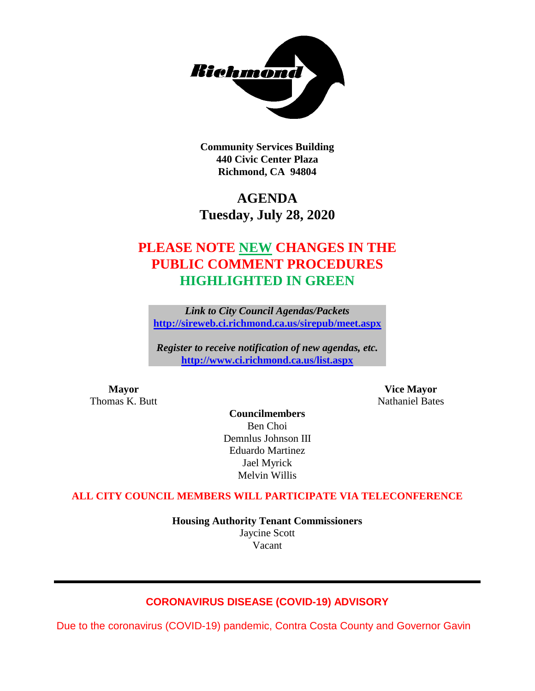

**Community Services Building 440 Civic Center Plaza Richmond, CA 94804**

# **AGENDA Tuesday, July 28, 2020**

# **PLEASE NOTE NEW CHANGES IN THE PUBLIC COMMENT PROCEDURES HIGHLIGHTED IN GREEN**

*Link to City Council Agendas/Packets* **<http://sireweb.ci.richmond.ca.us/sirepub/meet.aspx>**

*Register to receive notification of new agendas, etc.* **<http://www.ci.richmond.ca.us/list.aspx>**

**Mayor Vice Mayor** Thomas K. Butt Nathaniel Bates

**Councilmembers** Ben Choi Demnlus Johnson III Eduardo Martinez Jael Myrick Melvin Willis

### **ALL CITY COUNCIL MEMBERS WILL PARTICIPATE VIA TELECONFERENCE**

**Housing Authority Tenant Commissioners** Jaycine Scott Vacant

# **CORONAVIRUS DISEASE (COVID-19) ADVISORY**

Due to the coronavirus (COVID-19) pandemic, Contra Costa County and Governor Gavin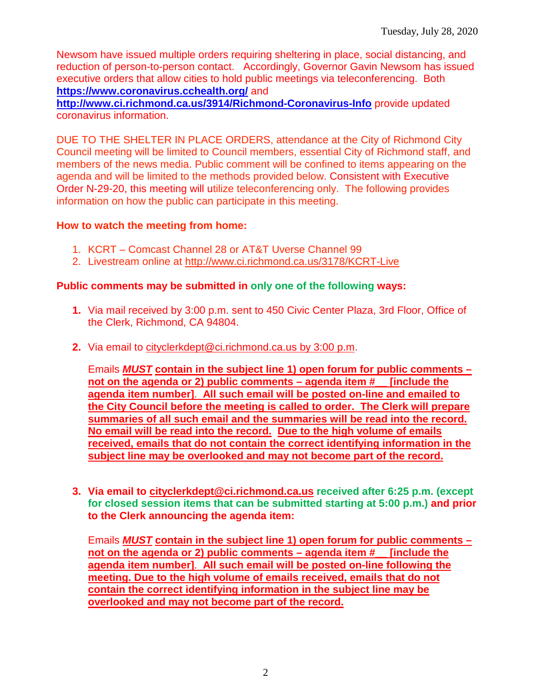Newsom have issued multiple orders requiring sheltering in place, social distancing, and reduction of person-to-person contact. Accordingly, Governor Gavin Newsom has issued executive orders that allow cities to hold public meetings via teleconferencing. Both **<https://www.coronavirus.cchealth.org/>** and

**<http://www.ci.richmond.ca.us/3914/Richmond-Coronavirus-Info>** provide updated coronavirus information.

DUE TO THE SHELTER IN PLACE ORDERS, attendance at the City of Richmond City Council meeting will be limited to Council members, essential City of Richmond staff, and members of the news media. Public comment will be confined to items appearing on the agenda and will be limited to the methods provided below. Consistent with Executive Order N-29-20, this meeting will utilize teleconferencing only. The following provides information on how the public can participate in this meeting.

### **How to watch the meeting from home:**

- 1. KCRT Comcast Channel 28 or AT&T Uverse Channel 99
- 2. Livestream online at<http://www.ci.richmond.ca.us/3178/KCRT-Live>

### **Public comments may be submitted in only one of the following ways:**

- **1.** Via mail received by 3:00 p.m. sent to 450 Civic Center Plaza, 3rd Floor, Office of the Clerk, Richmond, CA 94804.
- **2.** Via email to [cityclerkdept@ci.richmond.ca.us](mailto:cityclerkdept@ci.richmond.ca.us) by 3:00 p.m.

Emails *MUST* **contain in the subject line 1) open forum for public comments – not on the agenda or 2) public comments – agenda item #\_\_ [include the agenda item number]**. **All such email will be posted on-line and emailed to the City Council before the meeting is called to order. The Clerk will prepare summaries of all such email and the summaries will be read into the record. No email will be read into the record. Due to the high volume of emails received, emails that do not contain the correct identifying information in the subject line may be overlooked and may not become part of the record.**

**3. Via email to [cityclerkdept@ci.richmond.ca.us](mailto:cityclerkdept@ci.richmond.ca.us) received after 6:25 p.m. (except for closed session items that can be submitted starting at 5:00 p.m.) and prior to the Clerk announcing the agenda item:**

Emails *MUST* **contain in the subject line 1) open forum for public comments – not on the agenda or 2) public comments – agenda item #\_\_ [include the agenda item number]**. **All such email will be posted on-line following the meeting. Due to the high volume of emails received, emails that do not contain the correct identifying information in the subject line may be overlooked and may not become part of the record.**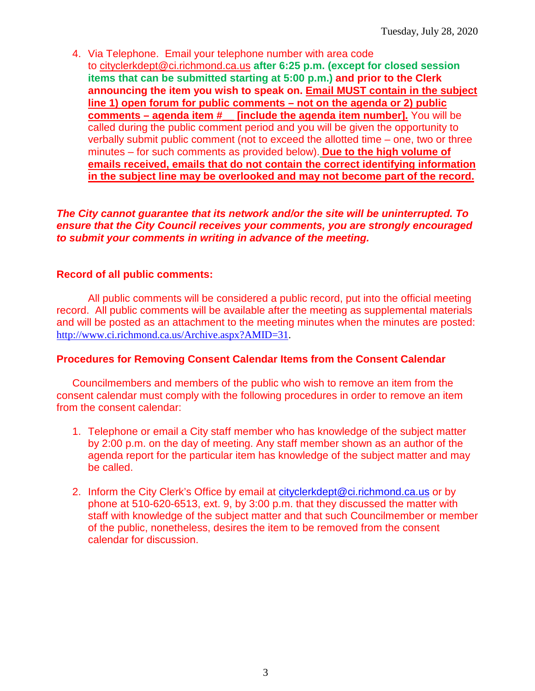4. Via Telephone. Email your telephone number with area code to [cityclerkdept@ci.richmond.ca.us](mailto:cityclerkdept@ci.richmond.ca.us) **after 6:25 p.m. (except for closed session items that can be submitted starting at 5:00 p.m.) and prior to the Clerk announcing the item you wish to speak on. Email MUST contain in the subject line 1) open forum for public comments – not on the agenda or 2) public comments – agenda item #\_\_ [include the agenda item number].** You will be called during the public comment period and you will be given the opportunity to verbally submit public comment (not to exceed the allotted time – one, two or three minutes – for such comments as provided below). **Due to the high volume of emails received, emails that do not contain the correct identifying information in the subject line may be overlooked and may not become part of the record.**

*The City cannot guarantee that its network and/or the site will be uninterrupted. To ensure that the City Council receives your comments, you are strongly encouraged to submit your comments in writing in advance of the meeting.*

### **Record of all public comments:**

All public comments will be considered a public record, put into the official meeting record. All public comments will be available after the meeting as supplemental materials and will be posted as an attachment to the meeting minutes when the minutes are posted: [http://www.ci.richmond.ca.us/Archive.aspx?AMID=31.](http://www.ci.richmond.ca.us/Archive.aspx?AMID=31)

### **Procedures for Removing Consent Calendar Items from the Consent Calendar**

Councilmembers and members of the public who wish to remove an item from the consent calendar must comply with the following procedures in order to remove an item from the consent calendar:

- 1. Telephone or email a City staff member who has knowledge of the subject matter by 2:00 p.m. on the day of meeting. Any staff member shown as an author of the agenda report for the particular item has knowledge of the subject matter and may be called.
- 2. Inform the City Clerk's Office by email at [cityclerkdept@ci.richmond.ca.us](mailto:cityclerkdept@ci.richmond.ca.us) or by phone at 510-620-6513, ext. 9, by 3:00 p.m. that they discussed the matter with staff with knowledge of the subject matter and that such Councilmember or member of the public, nonetheless, desires the item to be removed from the consent calendar for discussion.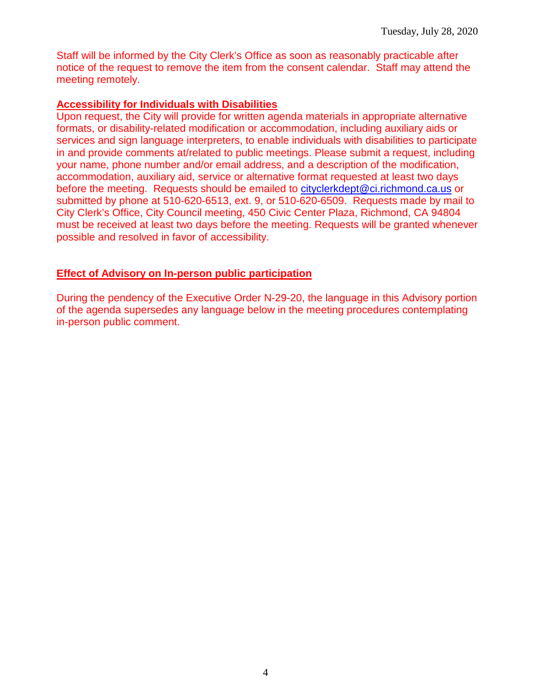Staff will be informed by the City Clerk's Office as soon as reasonably practicable after notice of the request to remove the item from the consent calendar. Staff may attend the meeting remotely.

### **Accessibility for Individuals with Disabilities**

Upon request, the City will provide for written agenda materials in appropriate alternative formats, or disability-related modification or accommodation, including auxiliary aids or services and sign language interpreters, to enable individuals with disabilities to participate in and provide comments at/related to public meetings. Please submit a request, including your name, phone number and/or email address, and a description of the modification, accommodation, auxiliary aid, service or alternative format requested at least two days before the meeting. Requests should be emailed to [cityclerkdept@ci.richmond.ca.us](mailto:cityclerkdept@ci.richmond.ca.us) or submitted by phone at 510-620-6513, ext. 9, or 510-620-6509. Requests made by mail to City Clerk's Office, City Council meeting, 450 Civic Center Plaza, Richmond, CA 94804 must be received at least two days before the meeting. Requests will be granted whenever possible and resolved in favor of accessibility.

## **Effect of Advisory on In-person public participation**

During the pendency of the Executive Order N-29-20, the language in this Advisory portion of the agenda supersedes any language below in the meeting procedures contemplating in-person public comment.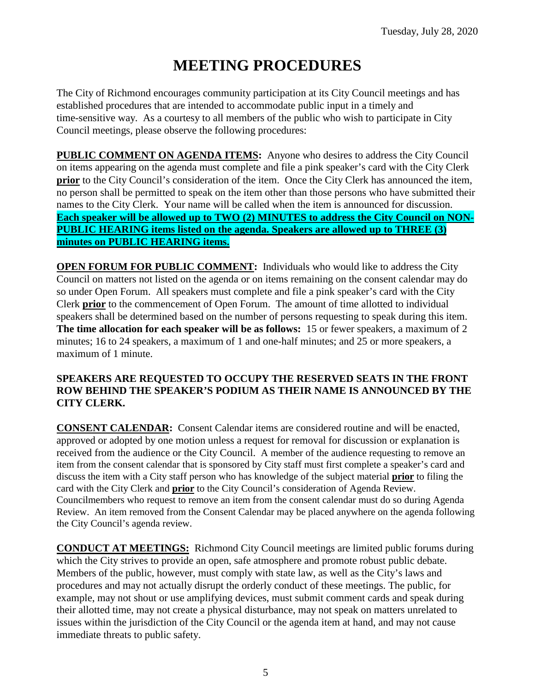# **MEETING PROCEDURES**

The City of Richmond encourages community participation at its City Council meetings and has established procedures that are intended to accommodate public input in a timely and time-sensitive way. As a courtesy to all members of the public who wish to participate in City Council meetings, please observe the following procedures:

**PUBLIC COMMENT ON AGENDA ITEMS:** Anyone who desires to address the City Council on items appearing on the agenda must complete and file a pink speaker's card with the City Clerk **prior** to the City Council's consideration of the item. Once the City Clerk has announced the item, no person shall be permitted to speak on the item other than those persons who have submitted their names to the City Clerk. Your name will be called when the item is announced for discussion. **Each speaker will be allowed up to TWO (2) MINUTES to address the City Council on NON-PUBLIC HEARING items listed on the agenda. Speakers are allowed up to THREE (3) minutes on PUBLIC HEARING items.**

**OPEN FORUM FOR PUBLIC COMMENT:** Individuals who would like to address the City Council on matters not listed on the agenda or on items remaining on the consent calendar may do so under Open Forum. All speakers must complete and file a pink speaker's card with the City Clerk **prior** to the commencement of Open Forum. The amount of time allotted to individual speakers shall be determined based on the number of persons requesting to speak during this item. **The time allocation for each speaker will be as follows:** 15 or fewer speakers, a maximum of 2 minutes; 16 to 24 speakers, a maximum of 1 and one-half minutes; and 25 or more speakers, a maximum of 1 minute.

### **SPEAKERS ARE REQUESTED TO OCCUPY THE RESERVED SEATS IN THE FRONT ROW BEHIND THE SPEAKER'S PODIUM AS THEIR NAME IS ANNOUNCED BY THE CITY CLERK.**

**CONSENT CALENDAR:** Consent Calendar items are considered routine and will be enacted, approved or adopted by one motion unless a request for removal for discussion or explanation is received from the audience or the City Council. A member of the audience requesting to remove an item from the consent calendar that is sponsored by City staff must first complete a speaker's card and discuss the item with a City staff person who has knowledge of the subject material **prior** to filing the card with the City Clerk and **prior** to the City Council's consideration of Agenda Review. Councilmembers who request to remove an item from the consent calendar must do so during Agenda Review. An item removed from the Consent Calendar may be placed anywhere on the agenda following the City Council's agenda review.

**CONDUCT AT MEETINGS:** Richmond City Council meetings are limited public forums during which the City strives to provide an open, safe atmosphere and promote robust public debate. Members of the public, however, must comply with state law, as well as the City's laws and procedures and may not actually disrupt the orderly conduct of these meetings. The public, for example, may not shout or use amplifying devices, must submit comment cards and speak during their allotted time, may not create a physical disturbance, may not speak on matters unrelated to issues within the jurisdiction of the City Council or the agenda item at hand, and may not cause immediate threats to public safety.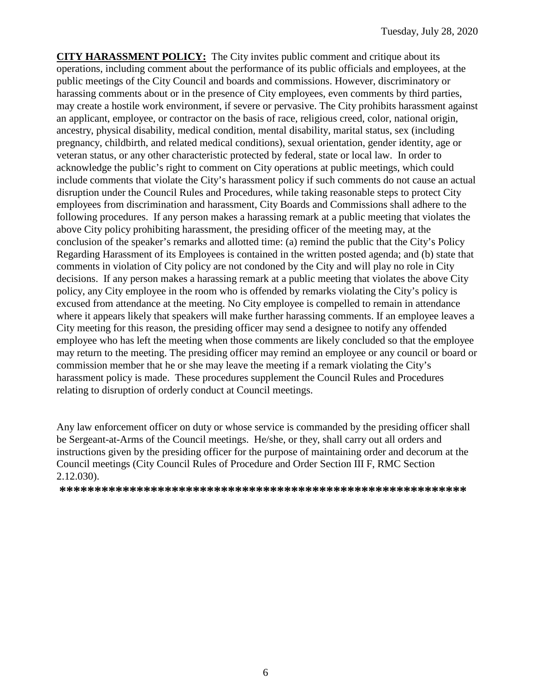**CITY HARASSMENT POLICY:** The City invites public comment and critique about its operations, including comment about the performance of its public officials and employees, at the public meetings of the City Council and boards and commissions. However, discriminatory or harassing comments about or in the presence of City employees, even comments by third parties, may create a hostile work environment, if severe or pervasive. The City prohibits harassment against an applicant, employee, or contractor on the basis of race, religious creed, color, national origin, ancestry, physical disability, medical condition, mental disability, marital status, sex (including pregnancy, childbirth, and related medical conditions), sexual orientation, gender identity, age or veteran status, or any other characteristic protected by federal, state or local law. In order to acknowledge the public's right to comment on City operations at public meetings, which could include comments that violate the City's harassment policy if such comments do not cause an actual disruption under the Council Rules and Procedures, while taking reasonable steps to protect City employees from discrimination and harassment, City Boards and Commissions shall adhere to the following procedures. If any person makes a harassing remark at a public meeting that violates the above City policy prohibiting harassment, the presiding officer of the meeting may, at the conclusion of the speaker's remarks and allotted time: (a) remind the public that the City's Policy Regarding Harassment of its Employees is contained in the written posted agenda; and (b) state that comments in violation of City policy are not condoned by the City and will play no role in City decisions. If any person makes a harassing remark at a public meeting that violates the above City policy, any City employee in the room who is offended by remarks violating the City's policy is excused from attendance at the meeting. No City employee is compelled to remain in attendance where it appears likely that speakers will make further harassing comments. If an employee leaves a City meeting for this reason, the presiding officer may send a designee to notify any offended employee who has left the meeting when those comments are likely concluded so that the employee may return to the meeting. The presiding officer may remind an employee or any council or board or commission member that he or she may leave the meeting if a remark violating the City's harassment policy is made. These procedures supplement the Council Rules and Procedures relating to disruption of orderly conduct at Council meetings.

Any law enforcement officer on duty or whose service is commanded by the presiding officer shall be Sergeant-at-Arms of the Council meetings. He/she, or they, shall carry out all orders and instructions given by the presiding officer for the purpose of maintaining order and decorum at the Council meetings (City Council Rules of Procedure and Order Section III F, RMC Section 2.12.030).

**\*\*\*\*\*\*\*\*\*\*\*\*\*\*\*\*\*\*\*\*\*\*\*\*\*\*\*\*\*\*\*\*\*\*\*\*\*\*\*\*\*\*\*\*\*\*\*\*\*\*\*\*\*\*\*\*\*\***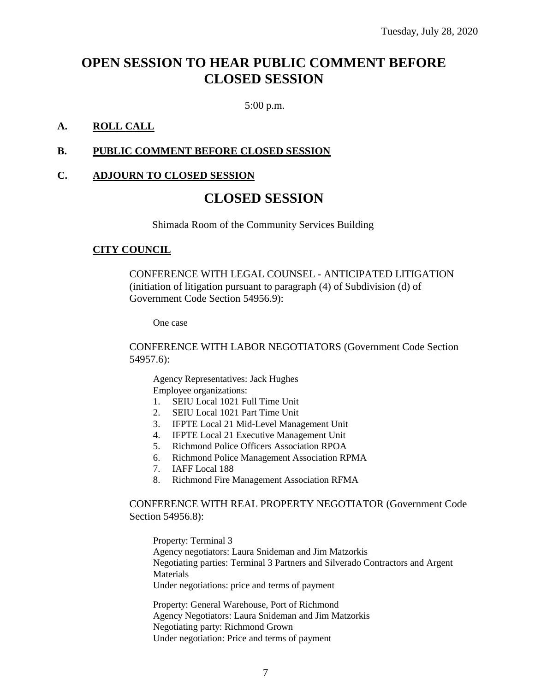# **OPEN SESSION TO HEAR PUBLIC COMMENT BEFORE CLOSED SESSION**

5:00 p.m.

### **A. ROLL CALL**

## **B. PUBLIC COMMENT BEFORE CLOSED SESSION**

### **C. ADJOURN TO CLOSED SESSION**

# **CLOSED SESSION**

Shimada Room of the Community Services Building

### **CITY COUNCIL**

CONFERENCE WITH LEGAL COUNSEL - ANTICIPATED LITIGATION (initiation of litigation pursuant to paragraph (4) of Subdivision (d) of Government Code Section 54956.9):

One case

CONFERENCE WITH LABOR NEGOTIATORS (Government Code Section 54957.6):

Agency Representatives: Jack Hughes Employee organizations:

- 1. SEIU Local 1021 Full Time Unit
- 2. SEIU Local 1021 Part Time Unit
- 3. IFPTE Local 21 Mid-Level Management Unit
- 4. IFPTE Local 21 Executive Management Unit
- 5. Richmond Police Officers Association RPOA
- 6. Richmond Police Management Association RPMA
- 7. IAFF Local 188
- 8. Richmond Fire Management Association RFMA

#### CONFERENCE WITH REAL PROPERTY NEGOTIATOR (Government Code Section 54956.8):

Property: Terminal 3 Agency negotiators: Laura Snideman and Jim Matzorkis Negotiating parties: Terminal 3 Partners and Silverado Contractors and Argent **Materials** Under negotiations: price and terms of payment

Property: General Warehouse, Port of Richmond Agency Negotiators: Laura Snideman and Jim Matzorkis Negotiating party: Richmond Grown Under negotiation: Price and terms of payment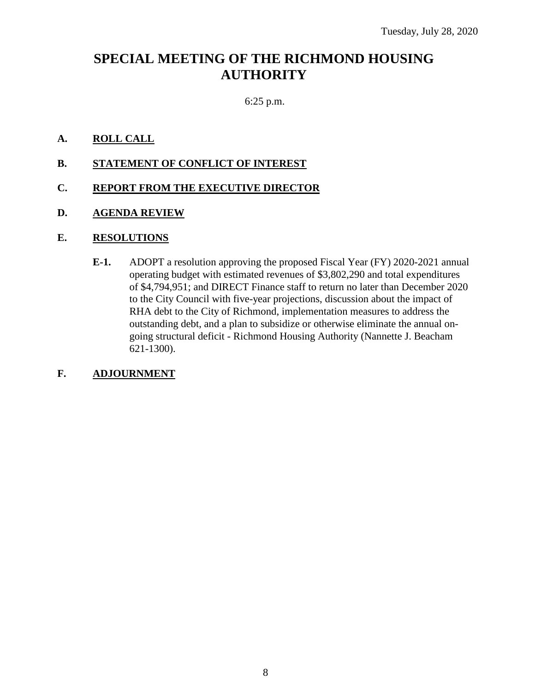# **SPECIAL MEETING OF THE RICHMOND HOUSING AUTHORITY**

### 6:25 p.m.

#### **A. ROLL CALL**

**B. STATEMENT OF CONFLICT OF INTEREST**

#### **C. REPORT FROM THE EXECUTIVE DIRECTOR**

**D. AGENDA REVIEW**

#### **E. RESOLUTIONS**

**E-1.** ADOPT a resolution approving the proposed Fiscal Year (FY) 2020-2021 annual operating budget with estimated revenues of \$3,802,290 and total expenditures of \$4,794,951; and DIRECT Finance staff to return no later than December 2020 to the City Council with five-year projections, discussion about the impact of RHA debt to the City of Richmond, implementation measures to address the outstanding debt, and a plan to subsidize or otherwise eliminate the annual ongoing structural deficit - Richmond Housing Authority (Nannette J. Beacham 621-1300).

### **F. ADJOURNMENT**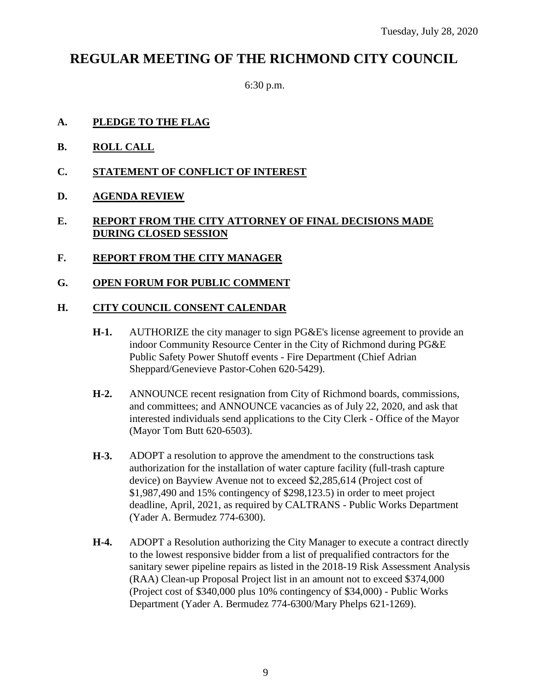# **REGULAR MEETING OF THE RICHMOND CITY COUNCIL**

6:30 p.m.

# **A. PLEDGE TO THE FLAG**

- **B. ROLL CALL**
- **C. STATEMENT OF CONFLICT OF INTEREST**
- **D. AGENDA REVIEW**

## **E. REPORT FROM THE CITY ATTORNEY OF FINAL DECISIONS MADE DURING CLOSED SESSION**

**F. REPORT FROM THE CITY MANAGER**

### **G. OPEN FORUM FOR PUBLIC COMMENT**

### **H. CITY COUNCIL CONSENT CALENDAR**

- **H-1.** AUTHORIZE the city manager to sign PG&E's license agreement to provide an indoor Community Resource Center in the City of Richmond during PG&E Public Safety Power Shutoff events - Fire Department (Chief Adrian Sheppard/Genevieve Pastor-Cohen 620-5429).
- **H-2.** ANNOUNCE recent resignation from City of Richmond boards, commissions, and committees; and ANNOUNCE vacancies as of July 22, 2020, and ask that interested individuals send applications to the City Clerk - Office of the Mayor (Mayor Tom Butt 620-6503).
- **H-3.** ADOPT a resolution to approve the amendment to the constructions task authorization for the installation of water capture facility (full-trash capture device) on Bayview Avenue not to exceed \$2,285,614 (Project cost of \$1,987,490 and 15% contingency of \$298,123.5) in order to meet project deadline, April, 2021, as required by CALTRANS - Public Works Department (Yader A. Bermudez 774-6300).
- **H-4.** ADOPT a Resolution authorizing the City Manager to execute a contract directly to the lowest responsive bidder from a list of prequalified contractors for the sanitary sewer pipeline repairs as listed in the 2018-19 Risk Assessment Analysis (RAA) Clean-up Proposal Project list in an amount not to exceed \$374,000 (Project cost of \$340,000 plus 10% contingency of \$34,000) - Public Works Department (Yader A. Bermudez 774-6300/Mary Phelps 621-1269).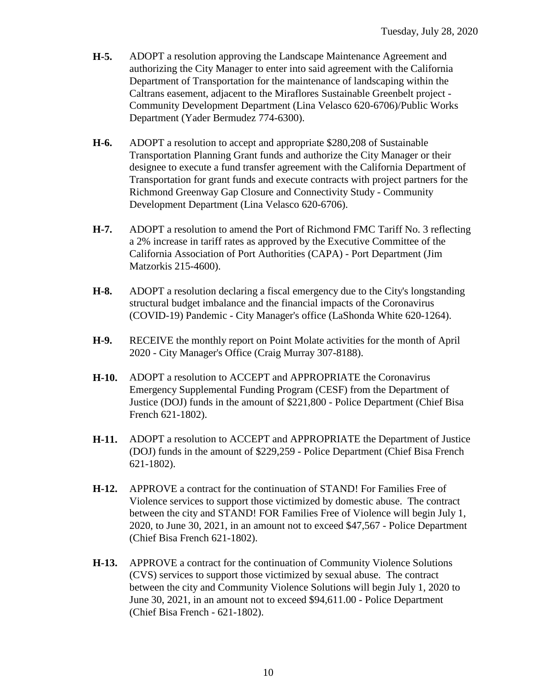- **H-5.** ADOPT a resolution approving the Landscape Maintenance Agreement and authorizing the City Manager to enter into said agreement with the California Department of Transportation for the maintenance of landscaping within the Caltrans easement, adjacent to the Miraflores Sustainable Greenbelt project - Community Development Department (Lina Velasco 620-6706)/Public Works Department (Yader Bermudez 774-6300).
- **H-6.** ADOPT a resolution to accept and appropriate \$280,208 of Sustainable Transportation Planning Grant funds and authorize the City Manager or their designee to execute a fund transfer agreement with the California Department of Transportation for grant funds and execute contracts with project partners for the Richmond Greenway Gap Closure and Connectivity Study - Community Development Department (Lina Velasco 620-6706).
- **H-7.** ADOPT a resolution to amend the Port of Richmond FMC Tariff No. 3 reflecting a 2% increase in tariff rates as approved by the Executive Committee of the California Association of Port Authorities (CAPA) - Port Department (Jim Matzorkis 215-4600).
- **H-8.** ADOPT a resolution declaring a fiscal emergency due to the City's longstanding structural budget imbalance and the financial impacts of the Coronavirus (COVID-19) Pandemic - City Manager's office (LaShonda White 620-1264).
- **H-9.** RECEIVE the monthly report on Point Molate activities for the month of April 2020 - City Manager's Office (Craig Murray 307-8188).
- **H-10.** ADOPT a resolution to ACCEPT and APPROPRIATE the Coronavirus Emergency Supplemental Funding Program (CESF) from the Department of Justice (DOJ) funds in the amount of \$221,800 - Police Department (Chief Bisa French 621-1802).
- **H-11.** ADOPT a resolution to ACCEPT and APPROPRIATE the Department of Justice (DOJ) funds in the amount of \$229,259 - Police Department (Chief Bisa French 621-1802).
- **H-12.** APPROVE a contract for the continuation of STAND! For Families Free of Violence services to support those victimized by domestic abuse. The contract between the city and STAND! FOR Families Free of Violence will begin July 1, 2020, to June 30, 2021, in an amount not to exceed \$47,567 - Police Department (Chief Bisa French 621-1802).
- **H-13.** APPROVE a contract for the continuation of Community Violence Solutions (CVS) services to support those victimized by sexual abuse. The contract between the city and Community Violence Solutions will begin July 1, 2020 to June 30, 2021, in an amount not to exceed \$94,611.00 - Police Department (Chief Bisa French - 621-1802).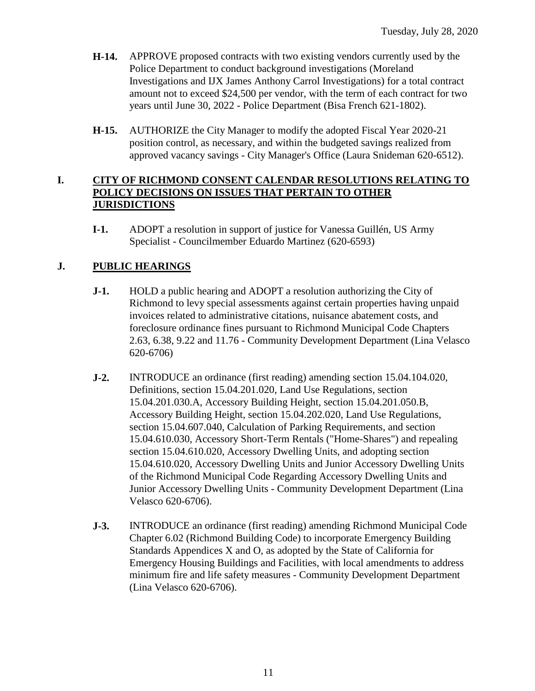- **H-14.** APPROVE proposed contracts with two existing vendors currently used by the Police Department to conduct background investigations (Moreland Investigations and IJX James Anthony Carrol Investigations) for a total contract amount not to exceed \$24,500 per vendor, with the term of each contract for two years until June 30, 2022 - Police Department (Bisa French 621-1802).
- **H-15.** AUTHORIZE the City Manager to modify the adopted Fiscal Year 2020-21 position control, as necessary, and within the budgeted savings realized from approved vacancy savings - City Manager's Office (Laura Snideman 620-6512).

### **I. CITY OF RICHMOND CONSENT CALENDAR RESOLUTIONS RELATING TO POLICY DECISIONS ON ISSUES THAT PERTAIN TO OTHER JURISDICTIONS**

**I-1.** ADOPT a resolution in support of justice for Vanessa Guillén, US Army Specialist - Councilmember Eduardo Martinez (620-6593)

# **J. PUBLIC HEARINGS**

- **J-1.** HOLD a public hearing and ADOPT a resolution authorizing the City of Richmond to levy special assessments against certain properties having unpaid invoices related to administrative citations, nuisance abatement costs, and foreclosure ordinance fines pursuant to Richmond Municipal Code Chapters 2.63, 6.38, 9.22 and 11.76 - Community Development Department (Lina Velasco 620-6706)
- **J-2.** INTRODUCE an ordinance (first reading) amending section 15.04.104.020, Definitions, section 15.04.201.020, Land Use Regulations, section 15.04.201.030.A, Accessory Building Height, section 15.04.201.050.B, Accessory Building Height, section 15.04.202.020, Land Use Regulations, section 15.04.607.040, Calculation of Parking Requirements, and section 15.04.610.030, Accessory Short-Term Rentals ("Home-Shares") and repealing section 15.04.610.020, Accessory Dwelling Units, and adopting section 15.04.610.020, Accessory Dwelling Units and Junior Accessory Dwelling Units of the Richmond Municipal Code Regarding Accessory Dwelling Units and Junior Accessory Dwelling Units - Community Development Department (Lina Velasco 620-6706).
- **J-3.** INTRODUCE an ordinance (first reading) amending Richmond Municipal Code Chapter 6.02 (Richmond Building Code) to incorporate Emergency Building Standards Appendices X and O, as adopted by the State of California for Emergency Housing Buildings and Facilities, with local amendments to address minimum fire and life safety measures - Community Development Department (Lina Velasco 620-6706).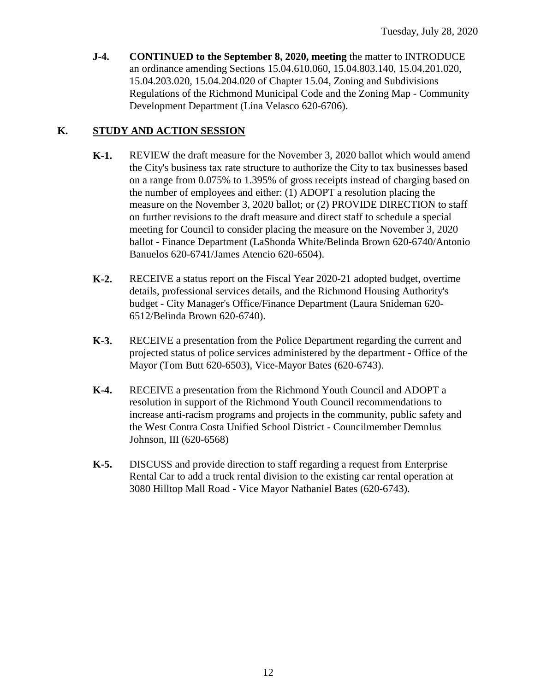**J-4. CONTINUED to the September 8, 2020, meeting** the matter to INTRODUCE an ordinance amending Sections 15.04.610.060, 15.04.803.140, 15.04.201.020, 15.04.203.020, 15.04.204.020 of Chapter 15.04, Zoning and Subdivisions Regulations of the Richmond Municipal Code and the Zoning Map - Community Development Department (Lina Velasco 620-6706).

# **K. STUDY AND ACTION SESSION**

- **K-1.** REVIEW the draft measure for the November 3, 2020 ballot which would amend the City's business tax rate structure to authorize the City to tax businesses based on a range from 0.075% to 1.395% of gross receipts instead of charging based on the number of employees and either: (1) ADOPT a resolution placing the measure on the November 3, 2020 ballot; or (2) PROVIDE DIRECTION to staff on further revisions to the draft measure and direct staff to schedule a special meeting for Council to consider placing the measure on the November 3, 2020 ballot - Finance Department (LaShonda White/Belinda Brown 620-6740/Antonio Banuelos 620-6741/James Atencio 620-6504).
- **K-2.** RECEIVE a status report on the Fiscal Year 2020-21 adopted budget, overtime details, professional services details, and the Richmond Housing Authority's budget - City Manager's Office/Finance Department (Laura Snideman 620- 6512/Belinda Brown 620-6740).
- **K-3.** RECEIVE a presentation from the Police Department regarding the current and projected status of police services administered by the department - Office of the Mayor (Tom Butt 620-6503), Vice-Mayor Bates (620-6743).
- **K-4.** RECEIVE a presentation from the Richmond Youth Council and ADOPT a resolution in support of the Richmond Youth Council recommendations to increase anti-racism programs and projects in the community, public safety and the West Contra Costa Unified School District - Councilmember Demnlus Johnson, III (620-6568)
- **K-5.** DISCUSS and provide direction to staff regarding a request from Enterprise Rental Car to add a truck rental division to the existing car rental operation at 3080 Hilltop Mall Road - Vice Mayor Nathaniel Bates (620-6743).